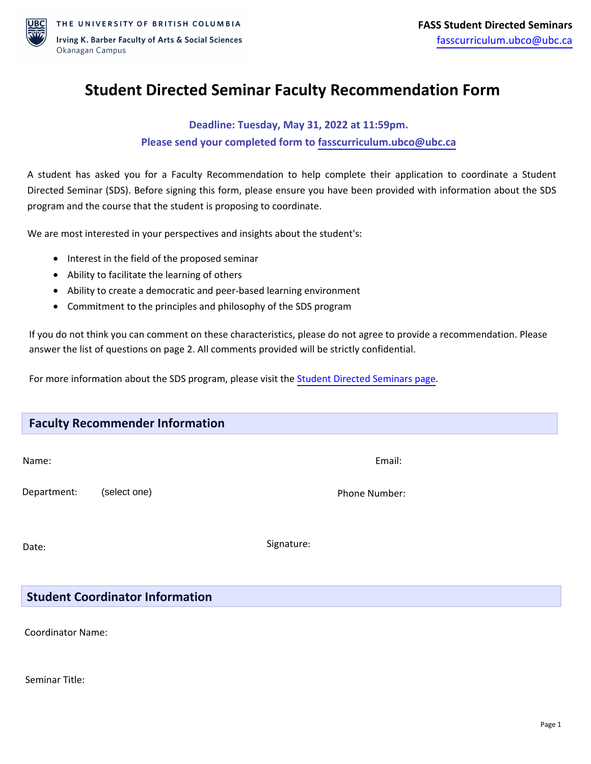

## **Student Directed Seminar Faculty Recommendation Form**

## **Deadline: Tuesday, May 31, 2022 at 11:59pm. Please send your completed form to [fasscurriculum.ubco@ubc.ca](mailto:fasscurriculum.ubco@ubc.ca)**

A student has asked you for a Faculty Recommendation to help complete their application to coordinate a Student Directed Seminar (SDS). Before signing this form, please ensure you have been provided with information about the SDS program and the course that the student is proposing to coordinate.

We are most interested in your perspectives and insights about the student's:

- Interest in the field of the proposed seminar
- Ability to facilitate the learning of others
- Ability to create a democratic and peer-based learning environment
- Commitment to the principles and philosophy of the SDS program

If you do not think you can comment on these characteristics, please do not agree to provide a recommendation. Please answer the list of questions on page 2. All comments provided will be strictly confidential.

For more information about the SDS program, please visit the [Student Directed Seminars page.](https://fass.ok.ubc.ca/student-resources/student-directed-seminars/)

| <b>Faculty Recommender Information</b> |              |               |
|----------------------------------------|--------------|---------------|
| Name:                                  |              | Email:        |
| Department:                            | (select one) | Phone Number: |
| Date:                                  |              | Signature:    |

## **Student Coordinator Information**

Coordinator Name:

Seminar Title: